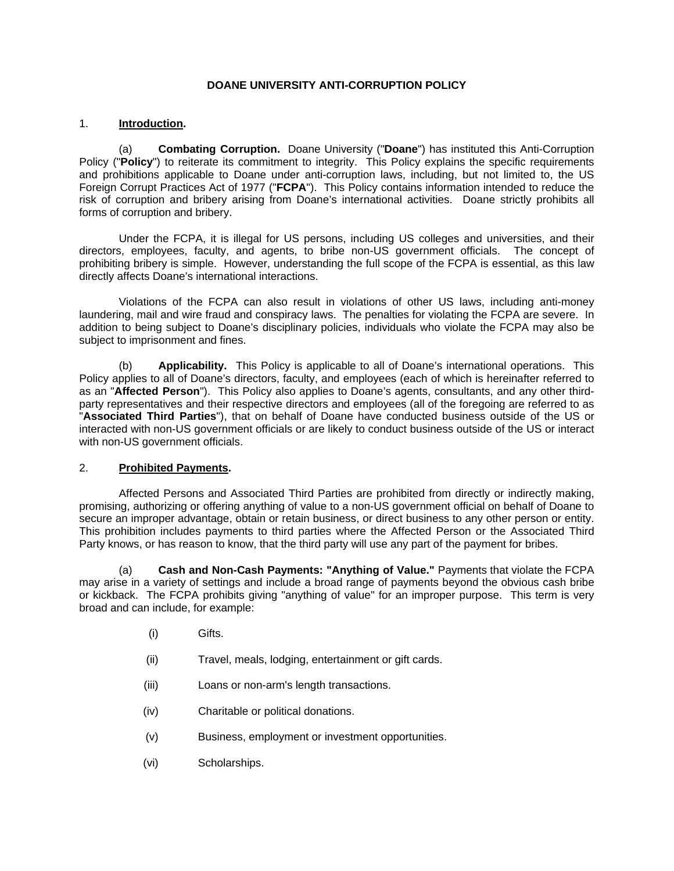### **DOANE UNIVERSITY ANTI-CORRUPTION POLICY**

### 1. **Introduction.**

(a) **Combating Corruption.** Doane University ("**Doane**") has instituted this Anti-Corruption Policy ("**Policy**") to reiterate its commitment to integrity. This Policy explains the specific requirements and prohibitions applicable to Doane under anti-corruption laws, including, but not limited to, the US Foreign Corrupt Practices Act of 1977 ("**FCPA**"). This Policy contains information intended to reduce the risk of corruption and bribery arising from Doane's international activities. Doane strictly prohibits all forms of corruption and bribery.

Under the FCPA, it is illegal for US persons, including US colleges and universities, and their directors, employees, faculty, and agents, to bribe non-US government officials. The concept of prohibiting bribery is simple. However, understanding the full scope of the FCPA is essential, as this law directly affects Doane's international interactions.

Violations of the FCPA can also result in violations of other US laws, including anti-money laundering, mail and wire fraud and conspiracy laws. The penalties for violating the FCPA are severe. In addition to being subject to Doane's disciplinary policies, individuals who violate the FCPA may also be subject to imprisonment and fines.

(b) **Applicability.** This Policy is applicable to all of Doane's international operations. This Policy applies to all of Doane's directors, faculty, and employees (each of which is hereinafter referred to as an "**Affected Person**"). This Policy also applies to Doane's agents, consultants, and any other thirdparty representatives and their respective directors and employees (all of the foregoing are referred to as "**Associated Third Parties**"), that on behalf of Doane have conducted business outside of the US or interacted with non-US government officials or are likely to conduct business outside of the US or interact with non-US government officials.

### 2. **Prohibited Payments.**

Affected Persons and Associated Third Parties are prohibited from directly or indirectly making, promising, authorizing or offering anything of value to a non-US government official on behalf of Doane to secure an improper advantage, obtain or retain business, or direct business to any other person or entity. This prohibition includes payments to third parties where the Affected Person or the Associated Third Party knows, or has reason to know, that the third party will use any part of the payment for bribes.

(a) **Cash and Non-Cash Payments: "Anything of Value."** Payments that violate the FCPA may arise in a variety of settings and include a broad range of payments beyond the obvious cash bribe or kickback. The FCPA prohibits giving "anything of value" for an improper purpose. This term is very broad and can include, for example:

- (i) Gifts.
- (ii) Travel, meals, lodging, entertainment or gift cards.
- (iii) Loans or non-arm's length transactions.
- (iv) Charitable or political donations.
- (v) Business, employment or investment opportunities.
- (vi) Scholarships.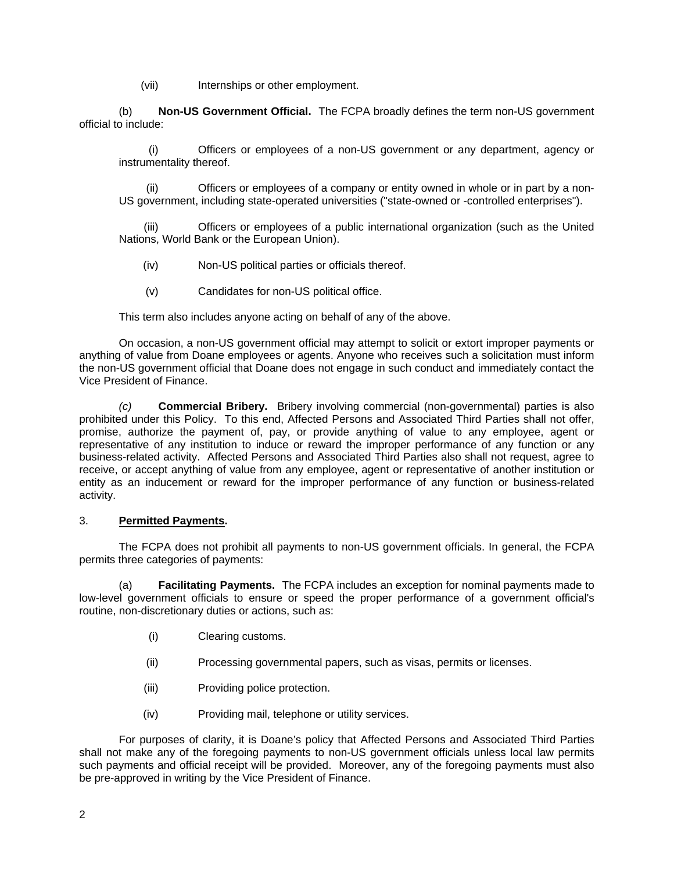(vii) Internships or other employment.

(b) **Non-US Government Official.** The FCPA broadly defines the term non-US government official to include:

(i) Officers or employees of a non-US government or any department, agency or instrumentality thereof.

(ii) Officers or employees of a company or entity owned in whole or in part by a non-US government, including state-operated universities ("state-owned or -controlled enterprises").

(iii) Officers or employees of a public international organization (such as the United Nations, World Bank or the European Union).

- (iv) Non-US political parties or officials thereof.
- (v) Candidates for non-US political office.

This term also includes anyone acting on behalf of any of the above.

On occasion, a non-US government official may attempt to solicit or extort improper payments or anything of value from Doane employees or agents. Anyone who receives such a solicitation must inform the non-US government official that Doane does not engage in such conduct and immediately contact the Vice President of Finance.

*(c)* **Commercial Bribery.** Bribery involving commercial (non-governmental) parties is also prohibited under this Policy. To this end, Affected Persons and Associated Third Parties shall not offer, promise, authorize the payment of, pay, or provide anything of value to any employee, agent or representative of any institution to induce or reward the improper performance of any function or any business-related activity. Affected Persons and Associated Third Parties also shall not request, agree to receive, or accept anything of value from any employee, agent or representative of another institution or entity as an inducement or reward for the improper performance of any function or business-related activity.

### 3. **Permitted Payments.**

The FCPA does not prohibit all payments to non-US government officials. In general, the FCPA permits three categories of payments:

(a) **Facilitating Payments.** The FCPA includes an exception for nominal payments made to low-level government officials to ensure or speed the proper performance of a government official's routine, non-discretionary duties or actions, such as:

- (i) Clearing customs.
- (ii) Processing governmental papers, such as visas, permits or licenses.
- (iii) Providing police protection.
- (iv) Providing mail, telephone or utility services.

For purposes of clarity, it is Doane's policy that Affected Persons and Associated Third Parties shall not make any of the foregoing payments to non-US government officials unless local law permits such payments and official receipt will be provided. Moreover, any of the foregoing payments must also be pre-approved in writing by the Vice President of Finance.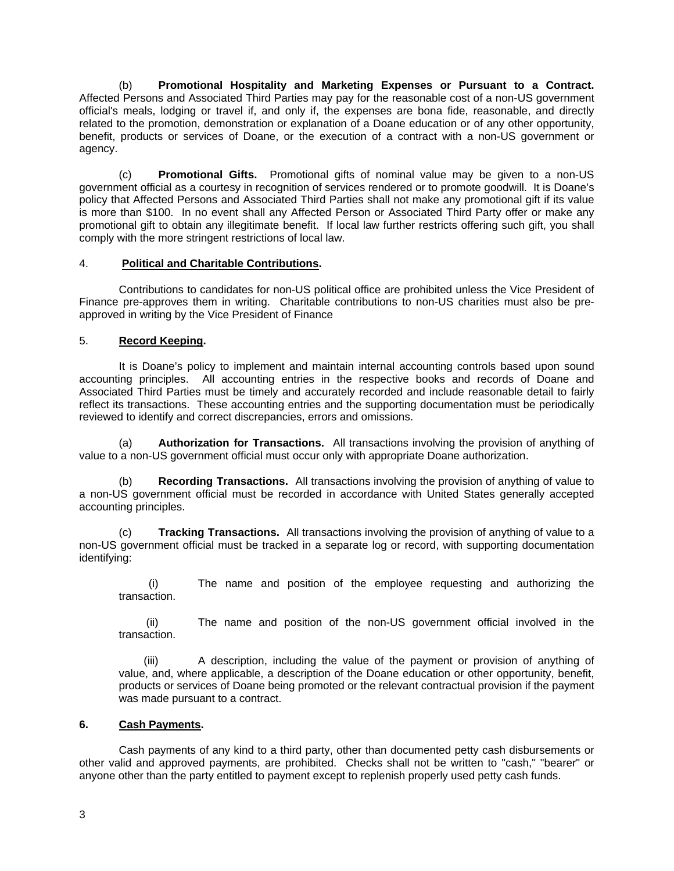(b) **Promotional Hospitality and Marketing Expenses or Pursuant to a Contract.**  Affected Persons and Associated Third Parties may pay for the reasonable cost of a non-US government official's meals, lodging or travel if, and only if, the expenses are bona fide, reasonable, and directly related to the promotion, demonstration or explanation of a Doane education or of any other opportunity, benefit, products or services of Doane, or the execution of a contract with a non-US government or agency.

(c) **Promotional Gifts.** Promotional gifts of nominal value may be given to a non-US government official as a courtesy in recognition of services rendered or to promote goodwill. It is Doane's policy that Affected Persons and Associated Third Parties shall not make any promotional gift if its value is more than \$100. In no event shall any Affected Person or Associated Third Party offer or make any promotional gift to obtain any illegitimate benefit. If local law further restricts offering such gift, you shall comply with the more stringent restrictions of local law.

# 4. **Political and Charitable Contributions.**

Contributions to candidates for non-US political office are prohibited unless the Vice President of Finance pre-approves them in writing. Charitable contributions to non-US charities must also be preapproved in writing by the Vice President of Finance

# 5. **Record Keeping.**

It is Doane's policy to implement and maintain internal accounting controls based upon sound accounting principles. All accounting entries in the respective books and records of Doane and Associated Third Parties must be timely and accurately recorded and include reasonable detail to fairly reflect its transactions. These accounting entries and the supporting documentation must be periodically reviewed to identify and correct discrepancies, errors and omissions.

(a) **Authorization for Transactions.** All transactions involving the provision of anything of value to a non-US government official must occur only with appropriate Doane authorization.

(b) **Recording Transactions.** All transactions involving the provision of anything of value to a non-US government official must be recorded in accordance with United States generally accepted accounting principles.

(c) **Tracking Transactions.** All transactions involving the provision of anything of value to a non-US government official must be tracked in a separate log or record, with supporting documentation identifying:

(i) The name and position of the employee requesting and authorizing the transaction.

(ii) The name and position of the non-US government official involved in the transaction.

(iii) A description, including the value of the payment or provision of anything of value, and, where applicable, a description of the Doane education or other opportunity, benefit, products or services of Doane being promoted or the relevant contractual provision if the payment was made pursuant to a contract.

# **6. Cash Payments.**

Cash payments of any kind to a third party, other than documented petty cash disbursements or other valid and approved payments, are prohibited. Checks shall not be written to "cash," "bearer" or anyone other than the party entitled to payment except to replenish properly used petty cash funds.